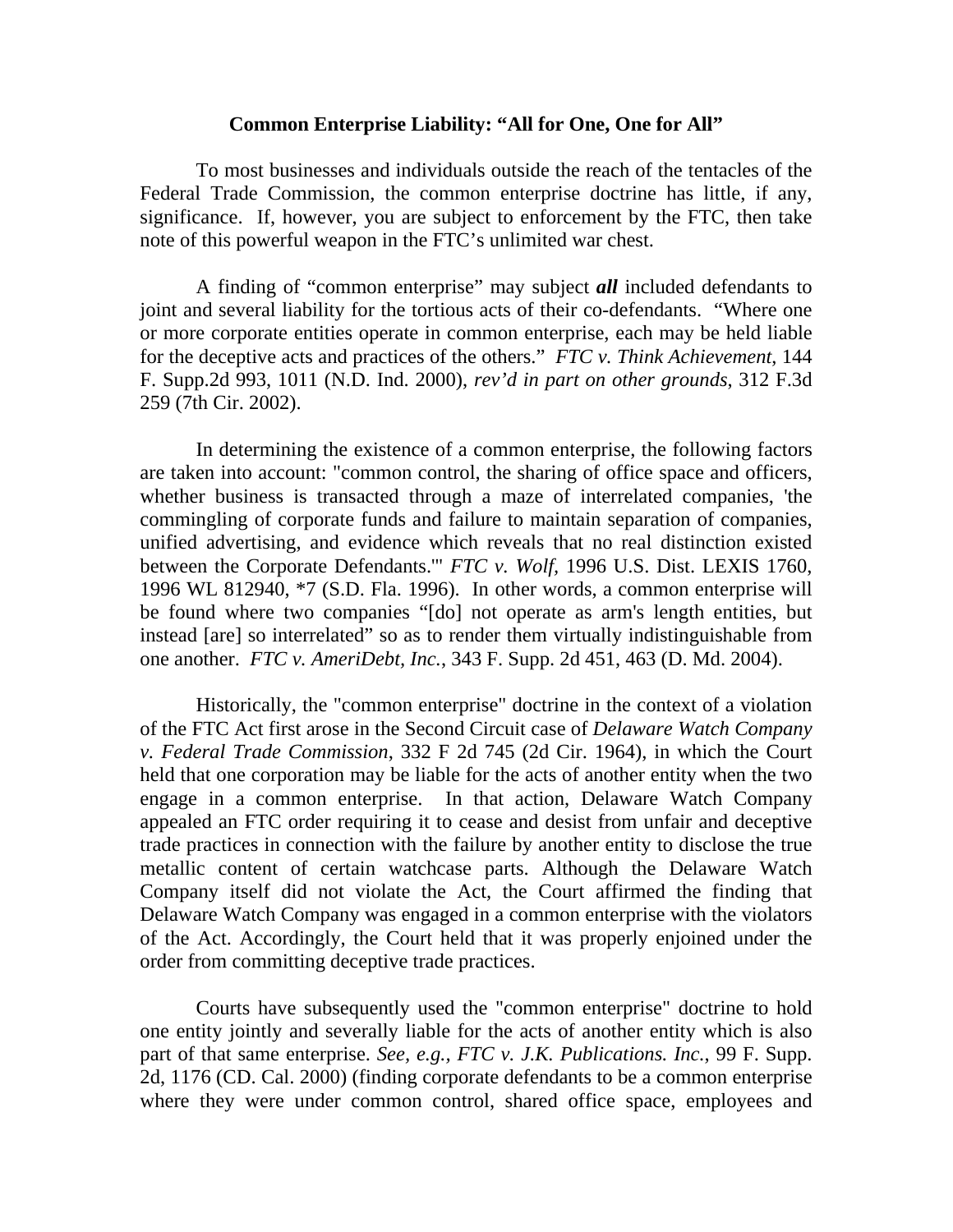## **Common Enterprise Liability: "All for One, One for All"**

To most businesses and individuals outside the reach of the tentacles of the Federal Trade Commission, the common enterprise doctrine has little, if any, significance. If, however, you are subject to enforcement by the FTC, then take note of this powerful weapon in the FTC's unlimited war chest.

A finding of "common enterprise" may subject *all* included defendants to joint and several liability for the tortious acts of their co-defendants. "Where one or more corporate entities operate in common enterprise, each may be held liable for the deceptive acts and practices of the others." *FTC v. Think Achievement*, 144 F. Supp.2d 993, 1011 (N.D. Ind. 2000), *rev'd in part on other grounds*, 312 F.3d 259 (7th Cir. 2002).

In determining the existence of a common enterprise, the following factors are taken into account: "common control, the sharing of office space and officers, whether business is transacted through a maze of interrelated companies, 'the commingling of corporate funds and failure to maintain separation of companies, unified advertising, and evidence which reveals that no real distinction existed between the Corporate Defendants.'" *FTC v. Wolf,* 1996 U.S. Dist. LEXIS 1760, 1996 WL 812940, \*7 (S.D. Fla. 1996). In other words, a common enterprise will be found where two companies "[do] not operate as arm's length entities, but instead [are] so interrelated" so as to render them virtually indistinguishable from one another. *FTC v. AmeriDebt, Inc.*, 343 F. Supp. 2d 451, 463 (D. Md. 2004).

 Historically, the "common enterprise" doctrine in the context of a violation of the FTC Act first arose in the Second Circuit case of *Delaware Watch Company v. Federal Trade Commission*, 332 F 2d 745 (2d Cir. 1964), in which the Court held that one corporation may be liable for the acts of another entity when the two engage in a common enterprise. In that action, Delaware Watch Company appealed an FTC order requiring it to cease and desist from unfair and deceptive trade practices in connection with the failure by another entity to disclose the true metallic content of certain watchcase parts. Although the Delaware Watch Company itself did not violate the Act, the Court affirmed the finding that Delaware Watch Company was engaged in a common enterprise with the violators of the Act. Accordingly, the Court held that it was properly enjoined under the order from committing deceptive trade practices.

 Courts have subsequently used the "common enterprise" doctrine to hold one entity jointly and severally liable for the acts of another entity which is also part of that same enterprise. *See, e.g., FTC v. J.K. Publications. Inc.*, 99 F. Supp. 2d, 1176 (CD. Cal. 2000) (finding corporate defendants to be a common enterprise where they were under common control, shared office space, employees and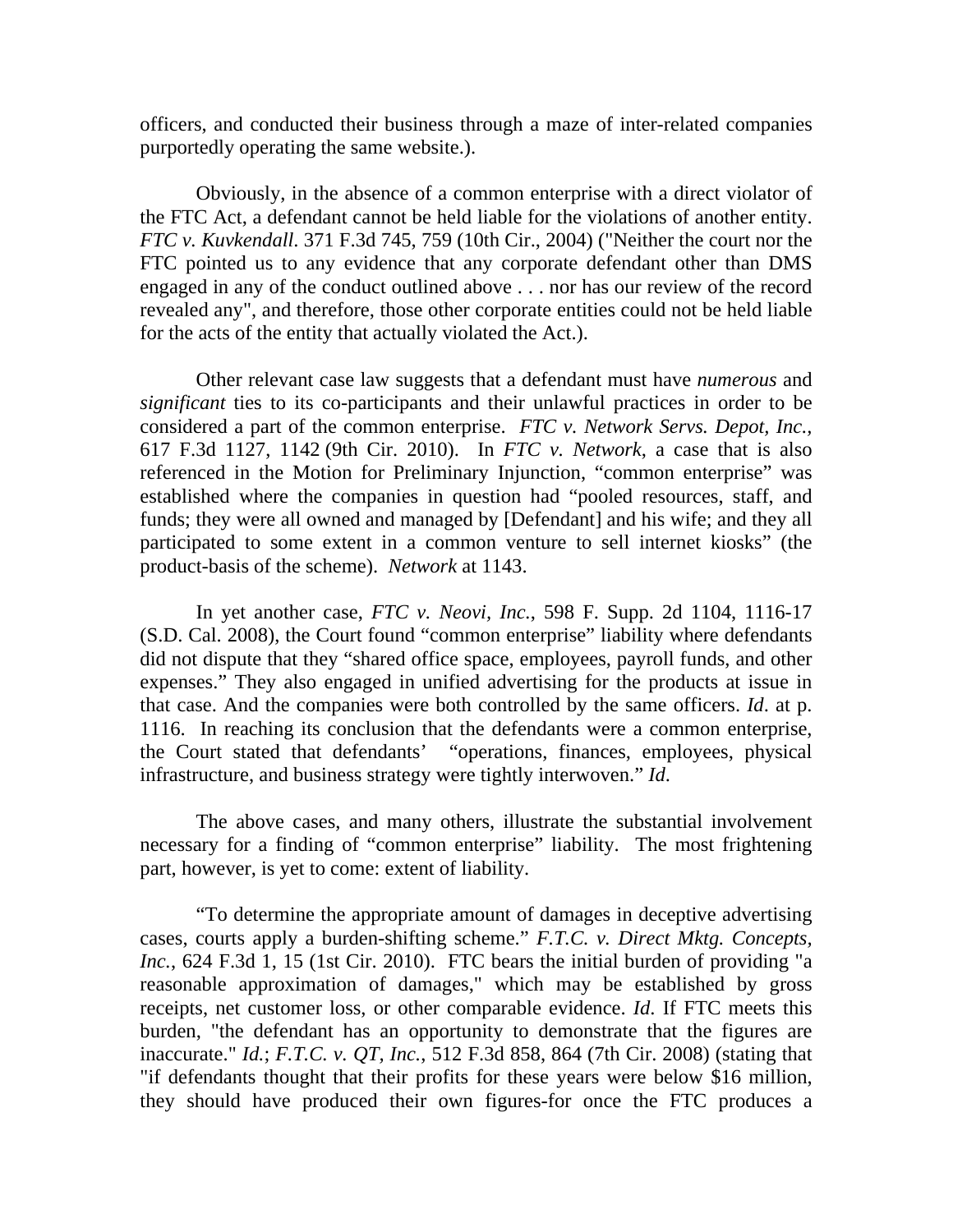officers, and conducted their business through a maze of inter-related companies purportedly operating the same website.).

Obviously, in the absence of a common enterprise with a direct violator of the FTC Act, a defendant cannot be held liable for the violations of another entity. *FTC v. Kuvkendall*. 371 F.3d 745, 759 (10th Cir., 2004) ("Neither the court nor the FTC pointed us to any evidence that any corporate defendant other than DMS engaged in any of the conduct outlined above . . . nor has our review of the record revealed any", and therefore, those other corporate entities could not be held liable for the acts of the entity that actually violated the Act.).

Other relevant case law suggests that a defendant must have *numerous* and *significant* ties to its co-participants and their unlawful practices in order to be considered a part of the common enterprise. *FTC v. Network Servs. Depot, Inc.,* 617 F.3d 1127, 1142 (9th Cir. 2010). In *FTC v. Network*, a case that is also referenced in the Motion for Preliminary Injunction, "common enterprise" was established where the companies in question had "pooled resources, staff, and funds; they were all owned and managed by [Defendant] and his wife; and they all participated to some extent in a common venture to sell internet kiosks" (the product-basis of the scheme). *Network* at 1143.

 In yet another case, *FTC v. Neovi, Inc.*, 598 F. Supp. 2d 1104, 1116-17 (S.D. Cal. 2008), the Court found "common enterprise" liability where defendants did not dispute that they "shared office space, employees, payroll funds, and other expenses." They also engaged in unified advertising for the products at issue in that case. And the companies were both controlled by the same officers. *Id*. at p. 1116. In reaching its conclusion that the defendants were a common enterprise, the Court stated that defendants' "operations, finances, employees, physical infrastructure, and business strategy were tightly interwoven." *Id*.

 The above cases, and many others, illustrate the substantial involvement necessary for a finding of "common enterprise" liability. The most frightening part, however, is yet to come: extent of liability.

"To determine the appropriate amount of damages in deceptive advertising cases, courts apply a burden-shifting scheme." *F.T.C. v. Direct Mktg. Concepts, Inc.*, 624 F.3d 1, 15 (1st Cir. 2010). FTC bears the initial burden of providing "a reasonable approximation of damages," which may be established by gross receipts, net customer loss, or other comparable evidence. *Id*. If FTC meets this burden, "the defendant has an opportunity to demonstrate that the figures are inaccurate." *Id.*; *F.T.C. v. QT, Inc.*, 512 F.3d 858, 864 (7th Cir. 2008) (stating that "if defendants thought that their profits for these years were below \$16 million, they should have produced their own figures-for once the FTC produces a